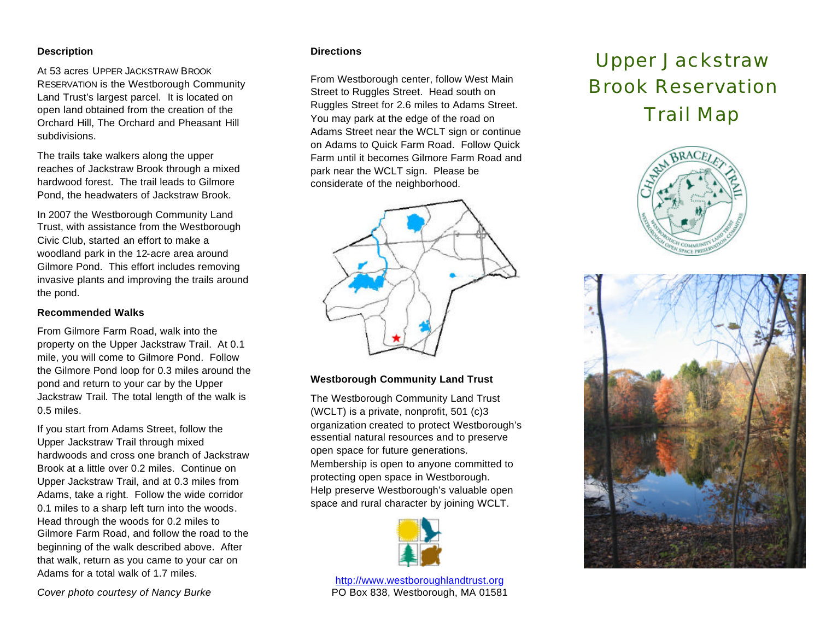#### **Description**

At 53 acres UPPER JACKSTRAW BROOK RESERVATION is the Westborough Community Land Trust's largest parcel. It is located on open land obtained from the creation of the Orchard Hill, The Orchard and Pheasant Hill subdivisions.

The trails take walkers along the upper reaches of Jackstraw Brook through a mixed hardwood forest. The trail leads to Gilmore Pond, the headwaters of Jackstraw Brook.

In 2007 the Westborough Community Land Trust, with assistance from the Westborough Civic Club, started an effort to make a woodland park in the 12-acre area around Gilmore Pond. This effort includes removing invasive plants and improving the trails around the pond.

#### **Recommended Walks**

From Gilmore Farm Road, walk into the property on the Upper Jackstraw Trail. At 0.1 mile, you will come to Gilmore Pond. Follow the Gilmore Pond loop for 0.3 miles around the pond and return to your car by the Upper Jackstraw Trail*.* The total length of the walk is 0.5 miles.

If you start from Adams Street, follow the Upper Jackstraw Trail through mixed hardwoods and cross one branch of Jackstraw Brook at a little over 0.2 miles. Continue on Upper Jackstraw Trail, and at 0.3 miles from Adams, take a right. Follow the wide corridor 0.1 miles to a sharp left turn into the woods. Head through the woods for 0.2 miles to Gilmore Farm Road, and follow the road to the beginning of the walk described above. After that walk, return as you came to your car on Adams for a total walk of 1.7 miles.

#### **Directions**

From Westborough center, follow West Main Street to Ruggles Street. Head south on Ruggles Street for 2.6 miles to Adams Street. You may park at the edge of the road on Adams Street near the WCLT sign or continue on Adams to Quick Farm Road. Follow Quick Farm until it becomes Gilmore Farm Road and park near the WCLT sign. Please be considerate of the neighborhood.



### **Westborough Community Land Trust**

The Westborough Community Land Trust (WCLT) is a private, nonprofit, 501 (c)3 organization created to protect Westborough's essential natural resources and to preserve open space for future generations. Membership is open to anyone committed to protecting open space in Westborough. Help preserve Westborough's valuable open space and rural character by joining WCLT.



http://www.westboroughlandtrust.org PO Box 838, Westborough, MA 01581

## Upper Jackstraw Brook Reservation

# Trail Map





*Cover photo courtesy of Nancy Burke*